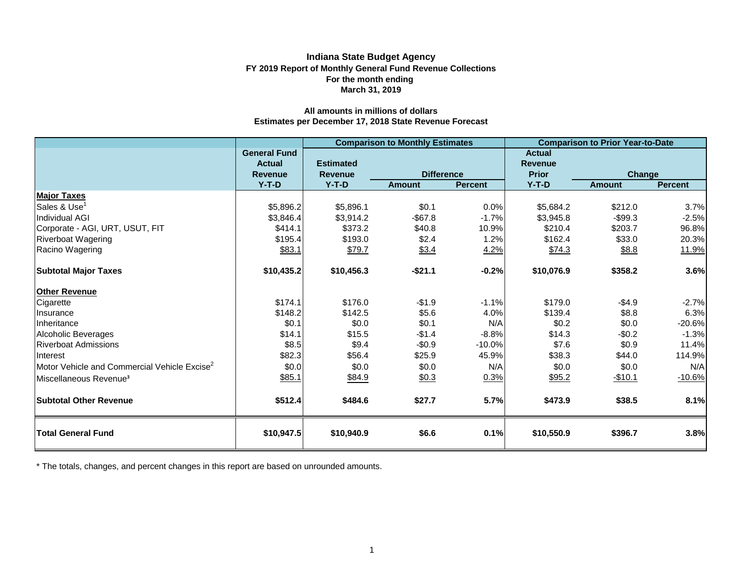# **FY 2019 Report of Monthly General Fund Revenue Collections March 31, 2019 Indiana State Budget Agency For the month ending**

# **Estimates per December 17, 2018 State Revenue Forecast All amounts in millions of dollars**

|                                                          |                                                        |                                    | <b>Comparison to Monthly Estimates</b> |                | <b>Comparison to Prior Year-to-Date</b>         |               |                |  |  |  |
|----------------------------------------------------------|--------------------------------------------------------|------------------------------------|----------------------------------------|----------------|-------------------------------------------------|---------------|----------------|--|--|--|
|                                                          | <b>General Fund</b><br><b>Actual</b><br><b>Revenue</b> | <b>Estimated</b><br><b>Revenue</b> | <b>Difference</b>                      |                | <b>Actual</b><br><b>Revenue</b><br><b>Prior</b> | <b>Change</b> |                |  |  |  |
|                                                          | $Y-T-D$                                                | $Y-T-D$                            | <b>Amount</b>                          | <b>Percent</b> | $Y-T-D$                                         | <b>Amount</b> | <b>Percent</b> |  |  |  |
| <b>Major Taxes</b>                                       |                                                        |                                    |                                        |                |                                                 |               |                |  |  |  |
| Sales & Use <sup>1</sup>                                 | \$5,896.2                                              | \$5,896.1                          | \$0.1                                  | 0.0%           | \$5,684.2                                       | \$212.0       | 3.7%           |  |  |  |
| <b>Individual AGI</b>                                    | \$3,846.4                                              | \$3,914.2                          | $-$ \$67.8                             | $-1.7%$        | \$3,945.8                                       | $-$99.3$      | $-2.5%$        |  |  |  |
| Corporate - AGI, URT, USUT, FIT                          | \$414.1                                                | \$373.2                            | \$40.8                                 | 10.9%          | \$210.4                                         | \$203.7       | 96.8%          |  |  |  |
| <b>Riverboat Wagering</b>                                | \$195.4                                                | \$193.0                            | \$2.4                                  | 1.2%           | \$162.4                                         | \$33.0        | 20.3%          |  |  |  |
| Racino Wagering                                          | \$83.1                                                 | \$79.7                             | \$3.4                                  | 4.2%           | \$74.3                                          | \$8.8         | 11.9%          |  |  |  |
| <b>Subtotal Major Taxes</b>                              | \$10,435.2                                             | \$10,456.3                         | $-$21.1$                               | $-0.2%$        | \$10,076.9                                      | \$358.2       | 3.6%           |  |  |  |
| <b>Other Revenue</b>                                     |                                                        |                                    |                                        |                |                                                 |               |                |  |  |  |
| Cigarette                                                | \$174.1                                                | \$176.0                            | $-$1.9$                                | $-1.1%$        | \$179.0                                         | $-$4.9$       | $-2.7%$        |  |  |  |
| Insurance                                                | \$148.2                                                | \$142.5                            | \$5.6                                  | 4.0%           | \$139.4                                         | \$8.8         | 6.3%           |  |  |  |
| Inheritance                                              | \$0.1                                                  | \$0.0                              | \$0.1                                  | N/A            | \$0.2                                           | \$0.0         | $-20.6%$       |  |  |  |
| Alcoholic Beverages                                      | \$14.1                                                 | \$15.5                             | $-$1.4$                                | $-8.8%$        | \$14.3                                          | $-$0.2$       | $-1.3%$        |  |  |  |
| <b>Riverboat Admissions</b>                              | \$8.5                                                  | \$9.4                              | $-$0.9$                                | $-10.0%$       | \$7.6                                           | \$0.9         | 11.4%          |  |  |  |
| <b>Interest</b>                                          | \$82.3                                                 | \$56.4                             | \$25.9                                 | 45.9%          | \$38.3                                          | \$44.0        | 114.9%         |  |  |  |
| Motor Vehicle and Commercial Vehicle Excise <sup>2</sup> | \$0.0                                                  | \$0.0                              | \$0.0                                  | N/A            | \$0.0                                           | \$0.0         | N/A            |  |  |  |
| Miscellaneous Revenue <sup>3</sup>                       | \$85.1                                                 | \$84.9                             | \$0.3                                  | 0.3%           | \$95.2                                          | $-$10.1$      | $-10.6%$       |  |  |  |
| <b>Subtotal Other Revenue</b>                            | \$512.4                                                | \$484.6                            | \$27.7                                 | 5.7%           | \$473.9                                         | \$38.5        | 8.1%           |  |  |  |
| <b>Total General Fund</b>                                | \$10,947.5                                             | \$10,940.9                         | \$6.6                                  | 0.1%           | \$10,550.9                                      | \$396.7       | 3.8%           |  |  |  |

\* The totals, changes, and percent changes in this report are based on unrounded amounts.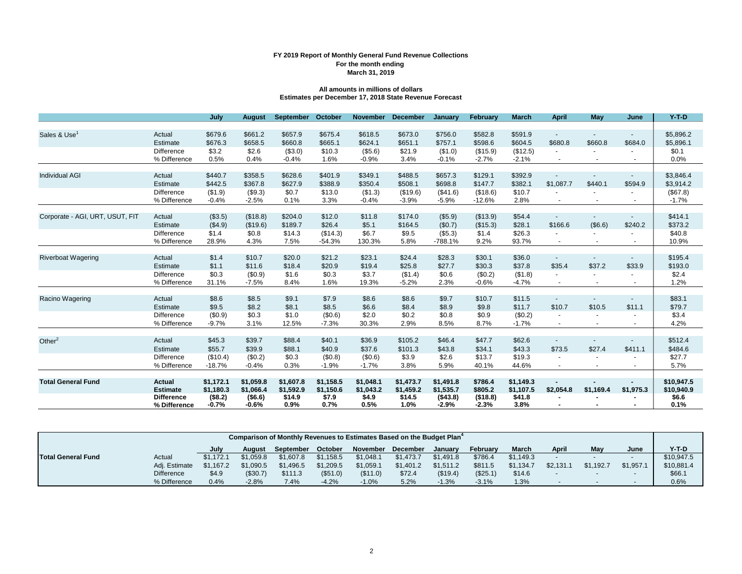## **FY 2019 Report of Monthly General Fund Revenue Collections March 31, 2019 For the month ending**

## **All amounts in millions of dollars Estimates per December 17, 2018 State Revenue Forecast**

|                                 |                            | July           | <b>August</b>      | September     | October       | <b>November</b> | <b>December</b>    | January       | February           | <b>March</b>       | <b>April</b>             | May                      | June                     | $Y-T-D$       |
|---------------------------------|----------------------------|----------------|--------------------|---------------|---------------|-----------------|--------------------|---------------|--------------------|--------------------|--------------------------|--------------------------|--------------------------|---------------|
|                                 |                            |                |                    |               |               |                 |                    |               |                    |                    |                          |                          |                          |               |
| Sales & Use <sup>1</sup>        | Actual                     | \$679.6        | \$661.2            | \$657.9       | \$675.4       | \$618.5         | \$673.0            | \$756.0       | \$582.8            | \$591.9            | $\overline{\phantom{a}}$ |                          | $\overline{\phantom{a}}$ | \$5,896.2     |
|                                 | Estimate                   | \$676.3        | \$658.5            | \$660.8       | \$665.1       | \$624.1         | \$651.1            | \$757.1       | \$598.6            | \$604.5            | \$680.8                  | \$660.8                  | \$684.0                  | \$5,896.1     |
|                                 | <b>Difference</b>          | \$3.2          | \$2.6              | (\$3.0)       | \$10.3        | (\$5.6)         | \$21.9             | (\$1.0)       | (\$15.9)           | (\$12.5)           |                          |                          |                          | \$0.1         |
|                                 | % Difference               | 0.5%           | 0.4%               | $-0.4%$       | 1.6%          | $-0.9%$         | 3.4%               | $-0.1%$       | $-2.7%$            | $-2.1%$            |                          |                          |                          | 0.0%          |
|                                 |                            |                |                    |               |               |                 |                    |               |                    |                    |                          |                          |                          |               |
| <b>Individual AGI</b>           | Actual                     | \$440.7        | \$358.5            | \$628.6       | \$401.9       | \$349.1         | \$488.5            | \$657.3       | \$129.1            | \$392.9            |                          |                          |                          | \$3,846.4     |
|                                 | Estimate                   | \$442.5        | \$367.8            | \$627.9       | \$388.9       | \$350.4         | \$508.1            | \$698.8       | \$147.7            | \$382.1            | \$1,087.7                | \$440.1                  | \$594.9                  | \$3,914.2     |
|                                 | Difference                 | (\$1.9)        | (\$9.3)            | \$0.7         | \$13.0        | (\$1.3)         | (\$19.6)           | (\$41.6)      | (\$18.6)           | \$10.7             |                          |                          |                          | (\$67.8)      |
|                                 | % Difference               | $-0.4%$        | $-2.5%$            | 0.1%          | 3.3%          | $-0.4%$         | $-3.9%$            | $-5.9%$       | $-12.6%$           | 2.8%               |                          |                          |                          | $-1.7%$       |
|                                 |                            |                |                    |               |               |                 |                    |               |                    |                    |                          |                          |                          |               |
| Corporate - AGI, URT, USUT, FIT | Actual                     | (\$3.5)        | (\$18.8)           | \$204.0       | \$12.0        | \$11.8          | \$174.0            | (\$5.9)       | (\$13.9)           | \$54.4             |                          |                          |                          | \$414.1       |
|                                 | Estimate                   | (\$4.9)        | (\$19.6)           | \$189.7       | \$26.4        | \$5.1           | \$164.5            | (\$0.7)       | (\$15.3)           | \$28.1             | \$166.6                  | (\$6.6)                  | \$240.2                  | \$373.2       |
|                                 | Difference                 | \$1.4          | \$0.8              | \$14.3        | (\$14.3)      | \$6.7           | \$9.5              | (\$5.3)       | \$1.4              | \$26.3             |                          |                          |                          | \$40.8        |
|                                 | % Difference               | 28.9%          | 4.3%               | 7.5%          | $-54.3%$      | 130.3%          | 5.8%               | $-788.1%$     | 9.2%               | 93.7%              |                          | $\overline{\phantom{a}}$ | $\overline{\phantom{a}}$ | 10.9%         |
|                                 |                            |                |                    |               |               |                 |                    |               |                    |                    |                          |                          |                          |               |
| <b>Riverboat Wagering</b>       | Actual                     | \$1.4          | \$10.7             | \$20.0        | \$21.2        | \$23.1          | \$24.4             | \$28.3        | \$30.1             | \$36.0             |                          |                          |                          | \$195.4       |
|                                 | Estimate                   | \$1.1          | \$11.6             | \$18.4        | \$20.9        | \$19.4          | \$25.8             | \$27.7        | \$30.3             | \$37.8             | \$35.4                   | \$37.2                   | \$33.9                   | \$193.0       |
|                                 | Difference<br>% Difference | \$0.3<br>31.1% | (\$0.9)<br>$-7.5%$ | \$1.6<br>8.4% | \$0.3<br>1.6% | \$3.7<br>19.3%  | (\$1.4)<br>$-5.2%$ | \$0.6<br>2.3% | (\$0.2)<br>$-0.6%$ | (\$1.8)<br>$-4.7%$ |                          |                          |                          | \$2.4<br>1.2% |
|                                 |                            |                |                    |               |               |                 |                    |               |                    |                    |                          | $\overline{\phantom{a}}$ | $\blacksquare$           |               |
| Racino Wagering                 | Actual                     | \$8.6          | \$8.5              | \$9.1         | \$7.9         | \$8.6           | \$8.6              | \$9.7         | \$10.7             | \$11.5             | $\sim$                   |                          | $\sim$                   | \$83.1        |
|                                 | Estimate                   | \$9.5          | \$8.2              | \$8.1         | \$8.5         | \$6.6           | \$8.4              | \$8.9         | \$9.8              | \$11.7             | \$10.7                   | \$10.5                   | \$11.1                   | \$79.7        |
|                                 | Difference                 | (\$0.9)        | \$0.3              | \$1.0         | (\$0.6)       | \$2.0           | \$0.2              | \$0.8         | \$0.9              | (\$0.2)            |                          |                          |                          | \$3.4         |
|                                 | % Difference               | $-9.7%$        | 3.1%               | 12.5%         | $-7.3%$       | 30.3%           | 2.9%               | 8.5%          | 8.7%               | $-1.7%$            |                          |                          | $\blacksquare$           | 4.2%          |
|                                 |                            |                |                    |               |               |                 |                    |               |                    |                    |                          |                          |                          |               |
| Other $2$                       | Actual                     | \$45.3         | \$39.7             | \$88.4        | \$40.1        | \$36.9          | \$105.2            | \$46.4        | \$47.7             | \$62.6             | $\sim$                   | $\overline{\phantom{a}}$ |                          | \$512.4       |
|                                 | Estimate                   | \$55.7         | \$39.9             | \$88.1        | \$40.9        | \$37.6          | \$101.3            | \$43.8        | \$34.1             | \$43.3             | \$73.5                   | \$27.4                   | \$411.1                  | \$484.6       |
|                                 | <b>Difference</b>          | (\$10.4)       | (\$0.2)            | \$0.3         | (\$0.8)       | (\$0.6)         | \$3.9              | \$2.6         | \$13.7             | \$19.3             |                          |                          |                          | \$27.7        |
|                                 | % Difference               | $-18.7%$       | $-0.4%$            | 0.3%          | $-1.9%$       | $-1.7%$         | 3.8%               | 5.9%          | 40.1%              | 44.6%              | $\blacksquare$           | $\overline{\phantom{a}}$ | $\overline{\phantom{a}}$ | 5.7%          |
|                                 |                            |                |                    |               |               |                 |                    |               |                    |                    |                          |                          |                          |               |
| <b>Total General Fund</b>       | Actual                     | \$1,172.1      | \$1,059.8          | \$1,607.8     | \$1,158.5     | \$1,048.1       | \$1,473.7          | \$1,491.8     | \$786.4            | \$1,149.3          |                          |                          |                          | \$10,947.5    |
|                                 | <b>Estimate</b>            | \$1,180.3      | \$1,066.4          | \$1,592.9     | \$1,150.6     | \$1,043.2       | \$1,459.2          | \$1,535.7     | \$805.2            | \$1,107.5          | \$2,054.8                | \$1,169.4                | \$1,975.3                | \$10,940.9    |
|                                 | <b>Difference</b>          | (\$8.2)        | ( \$6.6)           | \$14.9        | \$7.9         | \$4.9           | \$14.5             | (\$43.8)      | (\$18.8)           | \$41.8             |                          |                          |                          | \$6.6         |
|                                 | % Difference               | $-0.7%$        | $-0.6%$            | 0.9%          | 0.7%          | 0.5%            | 1.0%               | $-2.9%$       | $-2.3%$            | 3.8%               |                          |                          |                          | 0.1%          |

|                           | Comparison of Monthly Revenues to Estimates Based on the Budget Plan <sup>4</sup> |           |           |           |           |           |                 |           |          |           |                          |           |                          |            |
|---------------------------|-----------------------------------------------------------------------------------|-----------|-----------|-----------|-----------|-----------|-----------------|-----------|----------|-----------|--------------------------|-----------|--------------------------|------------|
|                           |                                                                                   | July      | August    | September | October   | November  | <b>December</b> | Januarv   | Februarv | March     | April                    | May       | June                     | $Y-T-D$    |
| <b>Total General Fund</b> | Actual                                                                            | \$1.172.1 | \$1.059.8 | \$1,607.8 | \$1.158.5 | \$1.048.1 | \$1.473.7       | \$1.491.8 | \$786.4  | \$1.149.3 | $\overline{\phantom{a}}$ |           |                          | \$10.947.5 |
|                           | Adi. Estimate                                                                     | \$1.167.2 | \$1,090.5 | \$1.496.5 | \$1,209.5 | \$1,059.1 | \$1.401.2       | \$1,511.2 | \$811.5  | \$1,134.7 | \$2,131.                 | \$1.192.7 | \$1.957.                 | \$10,881.4 |
|                           | <b>Difference</b>                                                                 | \$4.9     | (\$30.7)  | \$111.3   | (\$51.0)  | (\$11.0)  | \$72.4          | (\$19.4)  | (\$25.1) | \$14.6    |                          |           | $\overline{\phantom{0}}$ | \$66.1     |
|                           | % Difference                                                                      | 0.4%      | $-2.8%$   | 7.4%      | $-4.2%$   | $-1.0%$   | 5.2%            | $-1.3%$   | $-3.1%$  | 1.3%      |                          |           |                          | 0.6%       |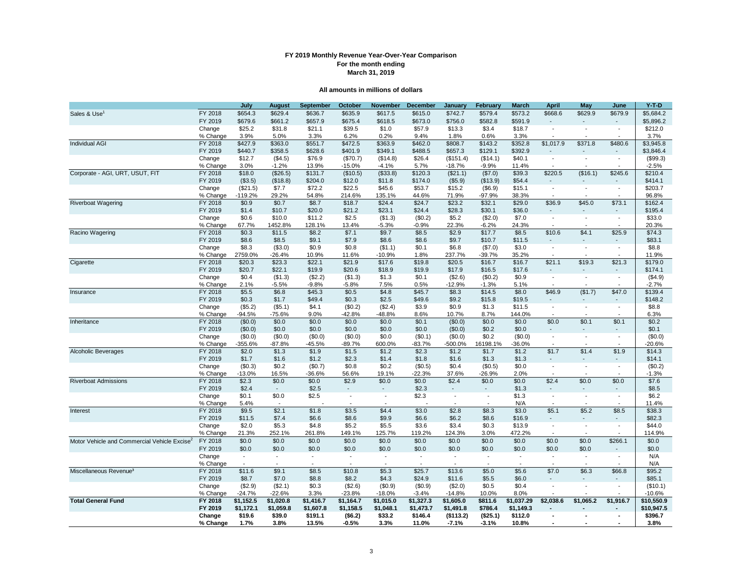# **FY 2019 Monthly Revenue Year-Over-Year Comparison For the month ending March 31, 2019**

#### **All amounts in millions of dollars**

|                                              |          | July      | <b>August</b>            | <b>September</b> | October                  | November                 | <b>December</b>          | January                  | February                 | March          | April                    | May                      | June                     | $Y-T-D$       |
|----------------------------------------------|----------|-----------|--------------------------|------------------|--------------------------|--------------------------|--------------------------|--------------------------|--------------------------|----------------|--------------------------|--------------------------|--------------------------|---------------|
| Sales & Use                                  | FY 2018  | \$654.3   | \$629.4                  | \$636.7          | \$635.9                  | \$617.5                  | \$615.0                  | \$742.7                  | \$579.4                  | \$573.2        | \$668.6                  | \$629.9                  | \$679.9                  | \$5,684.2     |
|                                              | FY 2019  | \$679.6   | \$661.2                  | \$657.9          | \$675.4                  | \$618.5                  | \$673.0                  | \$756.0                  | \$582.8                  | \$591.9        |                          |                          |                          | \$5,896.2     |
|                                              | Change   | \$25.2    | \$31.8                   | \$21.1           | \$39.5                   | \$1.0                    | \$57.9                   | \$13.3                   | \$3.4                    | \$18.7         | $\blacksquare$           | ÷,                       | $\blacksquare$           | \$212.0       |
|                                              | % Change | 3.9%      | 5.0%                     | 3.3%             | 6.2%                     | 0.2%                     | 9.4%                     | 1.8%                     | 0.6%                     | 3.3%           |                          |                          |                          | 3.7%          |
| <b>Individual AGI</b>                        | FY 2018  | \$427.9   | \$363.0                  | \$551.7          | \$472.5                  | \$363.9                  | \$462.0                  | \$808.7                  | \$143.2                  | \$352.8        | \$1,017.9                | \$371.8                  | \$480.6                  | \$3,945.8     |
|                                              | FY 2019  | \$440.7   | \$358.5                  | \$628.6          | \$401.9                  | \$349.1                  | \$488.5                  | \$657.3                  | \$129.1                  | \$392.9        |                          |                          |                          | \$3,846.4     |
|                                              | Change   | \$12.7    | (\$4.5)                  | \$76.9           | (\$70.7)                 | (\$14.8)                 | \$26.4                   | (\$151.4)                | (\$14.1)                 | \$40.1         | $\blacksquare$           | $\overline{a}$           | $\blacksquare$           | (\$99.3)      |
|                                              | % Change | 3.0%      | $-1.2%$                  | 13.9%            | $-15.0%$                 | $-4.1%$                  | 5.7%                     | $-18.7%$                 | $-9.9%$                  | 11.4%          |                          |                          |                          | $-2.5%$       |
| Corporate - AGI, URT, USUT, FIT              | FY 2018  | \$18.0    | (\$26.5)                 | \$131.7          | (\$10.5)                 | (\$33.8)                 | \$120.3                  | (\$21.1)                 | (\$7.0)                  | \$39.3         | \$220.5                  | (\$16.1)                 | \$245.6                  | \$210.4       |
|                                              | FY 2019  | (\$3.5)   | (\$18.8)                 | \$204.0          | \$12.0                   | \$11.8                   | \$174.0                  | (\$5.9)                  | (\$13.9)                 | \$54.4         |                          |                          |                          | \$414.1       |
|                                              | Change   | (\$21.5)  | \$7.7                    | \$72.2           | \$22.5                   | \$45.6                   | \$53.7                   | \$15.2                   | (\$6.9)                  | \$15.1         | $\overline{\phantom{a}}$ | $\blacksquare$           | $\sim$                   | \$203.7       |
|                                              | % Change | $-119.2%$ | 29.2%                    | 54.8%            | 214.6%                   | 135.1%                   | 44.6%                    | 71.9%                    | $-97.9%$                 | 38.3%          | $\overline{\phantom{a}}$ | $\overline{a}$           |                          | 96.8%         |
| <b>Riverboat Wagering</b>                    | FY 2018  | \$0.9     | \$0.7                    | \$8.7            | \$18.7                   | \$24.4                   | \$24.7                   | \$23.2                   | \$32.1                   | \$29.0         | \$36.9                   | \$45.0                   | \$73.1                   | \$162.4       |
|                                              | FY 2019  | \$1.4     | \$10.7                   | \$20.0           | \$21.2                   | \$23.1                   | \$24.4                   | \$28.3                   | \$30.1                   | \$36.0         |                          |                          |                          | \$195.4       |
|                                              | Change   | \$0.6     | \$10.0                   | \$11.2           | \$2.5                    | (\$1.3)                  | (\$0.2)                  | \$5.2                    | (\$2.0)                  | \$7.0          | $\sim$                   | $\sim$                   | $\sim$                   | \$33.0        |
|                                              | % Change | 67.7%     | 1452.8%                  | 128.1%           | 13.4%                    | $-5.3%$                  | $-0.9%$                  | 22.3%                    | $-6.2%$                  | 24.3%          | $\mathbf{r}$             | $\overline{\phantom{a}}$ | $\overline{\phantom{a}}$ | 20.3%         |
|                                              |          |           |                          |                  |                          |                          |                          | \$2.9                    |                          | \$8.5          | \$10.6                   | \$4.1                    | \$25.9                   |               |
| Racino Wagering                              | FY 2018  | \$0.3     | \$11.5                   | \$8.2            | \$7.1                    | \$9.7                    | \$8.5                    |                          | \$17.7                   |                |                          |                          |                          | \$74.3        |
|                                              | FY 2019  | \$8.6     | \$8.5                    | \$9.1            | \$7.9                    | \$8.6                    | \$8.6                    | \$9.7                    | \$10.7                   | \$11.5         |                          |                          |                          | \$83.1        |
|                                              | Change   | \$8.3     | (\$3.0)                  | \$0.9            | \$0.8                    | (\$1.1)                  | \$0.1                    | \$6.8                    | (\$7.0)                  | \$3.0          | $\overline{\phantom{a}}$ | $\mathbf{r}$             | $\sim$                   | \$8.8         |
|                                              | % Change | 2759.0%   | $-26.4%$                 | 10.9%            | 11.6%                    | $-10.9%$                 | 1.8%                     | 237.7%                   | $-39.7%$                 | 35.2%          | $\overline{\phantom{a}}$ | $\overline{a}$           | $\overline{\phantom{a}}$ | 11.9%         |
| Cigarette                                    | FY 2018  | \$20.3    | \$23.3                   | \$22.1           | \$21.9                   | \$17.6                   | \$19.8                   | \$20.5                   | \$16.7                   | \$16.7         | \$21.1                   | \$19.3                   | \$21.3                   | \$179.0       |
|                                              | FY 2019  | \$20.7    | \$22.1                   | \$19.9           | \$20.6                   | \$18.9                   | \$19.9                   | \$17.9                   | \$16.5                   | \$17.6         |                          |                          |                          | \$174.1       |
|                                              | Change   | \$0.4     | (\$1.3)                  | (\$2.2)          | (\$1.3)                  | \$1.3                    | \$0.1                    | (\$2.6)                  | (\$0.2)                  | \$0.9          | $\blacksquare$           | $\blacksquare$           | $\blacksquare$           | (\$4.9)       |
|                                              | % Change | 2.1%      | $-5.5%$                  | $-9.8%$          | $-5.8%$                  | 7.5%                     | 0.5%                     | $-12.9%$                 | $-1.3%$                  | 5.1%           | $\overline{\phantom{a}}$ | $\overline{a}$           | $\sim$                   | $-2.7%$       |
| Insurance                                    | FY 2018  | \$5.5     | \$6.8                    | \$45.3           | \$0.5                    | \$4.8                    | \$45.7                   | \$8.3                    | \$14.5                   | \$8.0          | \$46.9                   | (\$1.7)                  | \$47.0                   | \$139.4       |
|                                              | FY 2019  | \$0.3     | \$1.7                    | \$49.4           | \$0.3                    | \$2.5                    | \$49.6                   | \$9.2                    | \$15.8                   | \$19.5         |                          |                          |                          | \$148.2       |
|                                              | Change   | (\$5.2)   | (\$5.1)                  | \$4.1            | (\$0.2)                  | (\$2.4)                  | \$3.9                    | \$0.9                    | \$1.3                    | \$11.5         | $\blacksquare$           | $\blacksquare$           | $\blacksquare$           | \$8.8         |
|                                              | % Change | $-94.5%$  | $-75.6%$                 | 9.0%             | $-42.8%$                 | $-48.8%$                 | 8.6%                     | 10.7%                    | 8.7%                     | 144.0%         |                          |                          |                          | 6.3%          |
| Inheritance                                  | FY 2018  | (\$0.0)   | \$0.0                    | \$0.0            | \$0.0                    | \$0.0                    | \$0.1                    | (\$0.0)                  | \$0.0                    | \$0.0          | \$0.0                    | \$0.1                    | \$0.1                    | \$0.2         |
|                                              | FY 2019  | (\$0.0)   | \$0.0                    | \$0.0            | \$0.0                    | \$0.0                    | \$0.0                    | (\$0.0)                  | \$0.2                    | \$0.0          |                          |                          |                          | \$0.1         |
|                                              | Change   | (\$0.0)   | (\$0.0)                  | (\$0.0)          | (\$0.0)                  | \$0.0                    | (\$0.1)                  | (\$0.0)                  | \$0.2                    | (\$0.0)        | $\overline{\phantom{a}}$ | $\blacksquare$           | $\blacksquare$           | (\$0.0)       |
|                                              | % Change | $-355.6%$ | $-87.8%$                 | $-45.5%$         | $-89.7%$                 | 600.0%                   | $-83.7%$                 | -500.0%                  | 16198.1%                 | $-36.0%$       | $\sim$                   | $\blacksquare$           | $\overline{\phantom{a}}$ | $-20.6%$      |
| <b>Alcoholic Beverages</b>                   | FY 2018  | \$2.0     | \$1.3                    | \$1.9            | \$1.5                    | \$1.2                    | \$2.3                    | \$1.2                    | \$1.7                    | \$1.2          | \$1.7                    | \$1.4                    | \$1.9                    | \$14.3        |
|                                              | FY 2019  | \$1.7     | \$1.6                    | \$1.2            | \$2.3                    | \$1.4                    | \$1.8                    | \$1.6                    | \$1.3                    | \$1.3          |                          | $\overline{a}$           | $\overline{\phantom{a}}$ | \$14.1        |
|                                              | Change   | (\$0.3)   | \$0.2                    | (\$0.7)          | \$0.8                    | \$0.2                    | (\$0.5)                  | \$0.4                    | (\$0.5)                  | \$0.0          | $\overline{\phantom{a}}$ | $\overline{\phantom{a}}$ | $\overline{\phantom{a}}$ | (\$0.2)       |
|                                              | % Change | $-13.0%$  | 16.5%                    | $-36.6%$         | 56.6%                    | 19.1%                    | $-22.3%$                 | 37.6%                    | $-26.9%$                 | 2.0%           | $\sim$                   | $\overline{\phantom{a}}$ | $\sim$                   | $-1.3%$       |
| <b>Riverboat Admissions</b>                  | FY 2018  | \$2.3     | \$0.0                    | \$0.0            | \$2.9                    | \$0.0                    | \$0.0                    | \$2.4                    | \$0.0                    | \$0.0          | \$2.4                    | \$0.0                    | \$0.0                    | \$7.6         |
|                                              | FY 2019  | \$2.4     | $\sim$                   | \$2.5            |                          |                          | \$2.3                    |                          |                          | \$1.3          |                          |                          |                          | \$8.5         |
|                                              | Change   | \$0.1     | \$0.0                    | \$2.5            | $\overline{\phantom{a}}$ | $\overline{\phantom{a}}$ | \$2.3                    | $\overline{\phantom{a}}$ | $\overline{\phantom{a}}$ | \$1.3          | $\overline{\phantom{a}}$ | $\overline{\phantom{a}}$ | $\overline{\phantom{a}}$ | \$6.2         |
|                                              | % Change | 5.4%      |                          |                  |                          |                          |                          |                          |                          | N/A            | $\overline{\phantom{a}}$ | ÷,                       |                          | 11.4%         |
| Interest                                     | FY 2018  | \$9.5     | \$2.1                    | \$1.8            | \$3.5                    | \$4.4                    | \$3.0                    | \$2.8                    | \$8.3                    | \$3.0          | \$5.1                    | \$5.2                    | \$8.5                    | \$38.3        |
|                                              | FY 2019  | \$11.5    | \$7.4                    | \$6.6            | \$8.6                    | \$9.9                    | \$6.6                    | \$6.2                    | \$8.6                    | \$16.9         |                          |                          |                          | \$82.3        |
|                                              | Change   | \$2.0     | \$5.3                    | \$4.8            | \$5.2                    | \$5.5                    | \$3.6                    | \$3.4                    | \$0.3                    | \$13.9         | $\sim$                   | $\blacksquare$           | $\blacksquare$           | \$44.0        |
|                                              | % Change | 21.3%     | 252.1%                   | 261.8%           | 149.1%                   | 125.7%                   | 119.2%                   | 124.3%                   | 3.0%                     | 472.2%         | $\overline{\phantom{a}}$ | $\overline{\phantom{a}}$ |                          | 114.9%        |
| Motor Vehicle and Commercial Vehicle Excise® | FY 2018  | \$0.0     | \$0.0                    | \$0.0            | \$0.0                    | \$0.0                    | \$0.0                    | \$0.0                    | \$0.0                    | \$0.0          | \$0.0                    | \$0.0                    | \$266.1                  | \$0.0         |
|                                              | FY 2019  | \$0.0     | \$0.0                    | \$0.0            | \$0.0                    | \$0.0                    | \$0.0                    | \$0.0                    | \$0.0                    | \$0.0          | \$0.0                    | \$0.0                    |                          | \$0.0         |
|                                              | Change   | $\sim$    | $\overline{\phantom{a}}$ | $\sim$           | $\sim$                   | $\sim$                   | $\tilde{\phantom{a}}$    | $\blacksquare$           | $\mathbf{r}$             | $\sim$         | $\sim$                   | $\mathbf{r}$             | $\sim$                   | N/A           |
|                                              | % Change |           | $\blacksquare$           |                  | $\blacksquare$           | $\overline{\phantom{a}}$ | $\overline{\phantom{a}}$ | $\blacksquare$           | $\sim$                   | $\blacksquare$ | $\sim$                   | $\sim$                   | $\sim$                   |               |
| Miscellaneous Revenue <sup>3</sup>           | FY 2018  | \$11.6    | \$9.1                    | \$8.5            | \$10.8                   | \$5.3                    | \$25.7                   | \$13.6                   | \$5.0                    | \$5.6          | \$7.0                    | \$6.3                    | \$66.8                   | N/A<br>\$95.2 |
|                                              | FY 2019  | \$8.7     | \$7.0                    | \$8.8            | \$8.2                    |                          | \$24.9                   | \$11.6                   | \$5.5                    | \$6.0          |                          | $\overline{a}$           |                          | \$85.1        |
|                                              |          |           |                          |                  |                          | \$4.3                    |                          |                          | \$0.5                    |                | $\blacksquare$           | $\overline{a}$           |                          |               |
|                                              | Change   | (\$2.9)   | (\$2.1)                  | \$0.3            | (\$2.6)                  | (\$0.9)                  | (\$0.9)                  | (\$2.0)                  |                          | \$0.4          | $\overline{a}$           |                          | $\blacksquare$           | (\$10.1)      |
|                                              | % Change | $-24.7%$  | $-22.6%$                 | 3.3%             | $-23.8%$                 | $-18.0%$                 | $-3.4%$                  | $-14.8%$                 | 10.0%                    | 8.0%           |                          |                          |                          | $-10.6%$      |
| <b>Total General Fund</b>                    | FY 2018  | \$1,152.5 | \$1,020.8                | \$1,416.7        | \$1,164.7                | \$1,015.0                | \$1,327.3                | \$1,605.0                | \$811.6                  | \$1,037.29     | \$2,038.6                | \$1,065.2                | \$1,916.7                | \$10,550.9    |
|                                              | FY 2019  | \$1,172.1 | \$1,059.8                | \$1,607.8        | \$1,158.5                | \$1,048.1                | \$1,473.7                | \$1,491.8                | \$786.4                  | \$1,149.3      |                          |                          |                          | \$10,947.5    |
|                                              | Change   | \$19.6    | \$39.0                   | \$191.1          | ( \$6.2)                 | \$33.2                   | \$146.4                  | (\$113.2)                | (\$25.1)                 | \$112.0        | $\blacksquare$           | $\blacksquare$           | $\sim$                   | \$396.7       |
|                                              | % Change | 1.7%      | 3.8%                     | 13.5%            | $-0.5%$                  | 3.3%                     | 11.0%                    | $-7.1%$                  | $-3.1%$                  | 10.8%          | $\blacksquare$           | $\blacksquare$           |                          | 3.8%          |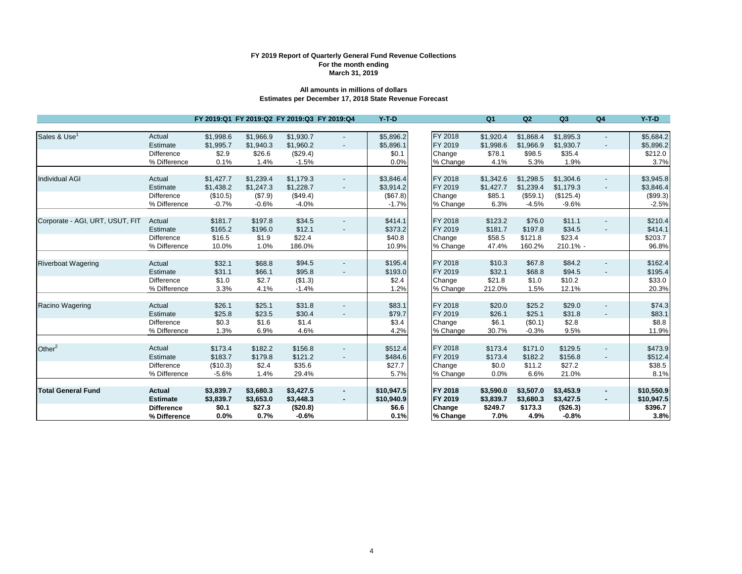# **FY 2019 Report of Quarterly General Fund Revenue Collections March 31, 2019 For the month ending**

## **Estimates per December 17, 2018 State Revenue Forecast All amounts in millions of dollars**

|                                 |                   | FY 2019:Q1 FY 2019:Q2 FY 2019:Q3 FY 2019:Q4 |           |           |                          | $Y-T-D$    |          | Q <sub>1</sub> | Q2        | Q3        | Q <sub>4</sub>           | $Y-T-D$    |
|---------------------------------|-------------------|---------------------------------------------|-----------|-----------|--------------------------|------------|----------|----------------|-----------|-----------|--------------------------|------------|
|                                 |                   |                                             |           |           |                          |            |          |                |           |           |                          |            |
| Sales & Use <sup>1</sup>        | Actual            | \$1,998.6                                   | \$1,966.9 | \$1,930.7 |                          | \$5,896.2  | FY 2018  | \$1,920.4      | \$1,868.4 | \$1,895.3 |                          | \$5,684.2  |
|                                 | Estimate          | \$1,995.7                                   | \$1,940.3 | \$1,960.2 | $\overline{\phantom{a}}$ | \$5,896.1  | FY 2019  | \$1,998.6      | \$1,966.9 | \$1,930.7 | $\overline{\phantom{a}}$ | \$5,896.2  |
|                                 | <b>Difference</b> | \$2.9                                       | \$26.6    | (\$29.4)  |                          | \$0.1      | Change   | \$78.1         | \$98.5    | \$35.4    |                          | \$212.0    |
|                                 | % Difference      | 0.1%                                        | 1.4%      | $-1.5%$   |                          | 0.0%       | % Change | 4.1%           | 5.3%      | 1.9%      |                          | 3.7%       |
|                                 |                   |                                             |           |           |                          |            |          |                |           |           |                          |            |
| <b>Individual AGI</b>           | Actual            | \$1,427.7                                   | \$1,239.4 | \$1,179.3 | $\overline{\phantom{a}}$ | \$3,846.4  | FY 2018  | \$1,342.6      | \$1,298.5 | \$1,304.6 | $\blacksquare$           | \$3,945.8  |
|                                 | Estimate          | \$1,438.2                                   | \$1,247.3 | \$1,228.7 | $\overline{\phantom{a}}$ | \$3,914.2  | FY 2019  | \$1,427.7      | \$1,239.4 | \$1,179.3 |                          | \$3,846.4  |
|                                 | Difference        | (\$10.5)                                    | (\$7.9)   | (\$49.4)  |                          | (\$67.8)   | Change   | \$85.1         | (\$59.1)  | (\$125.4) |                          | (\$99.3)   |
|                                 | % Difference      | $-0.7%$                                     | $-0.6%$   | $-4.0%$   |                          | $-1.7%$    | % Change | 6.3%           | $-4.5%$   | $-9.6%$   |                          | $-2.5%$    |
| Corporate - AGI, URT, USUT, FIT | Actual            | \$181.7                                     | \$197.8   | \$34.5    | $\overline{\phantom{a}}$ | \$414.1    | FY 2018  | \$123.2        | \$76.0    | \$11.1    |                          | \$210.4    |
|                                 | Estimate          | \$165.2                                     | \$196.0   | \$12.1    | $\blacksquare$           | \$373.2    | FY 2019  | \$181.7        | \$197.8   | \$34.5    |                          | \$414.1    |
|                                 | Difference        | \$16.5                                      | \$1.9     | \$22.4    |                          | \$40.8     | Change   | \$58.5         | \$121.8   | \$23.4    |                          | \$203.7    |
|                                 | % Difference      | 10.0%                                       | 1.0%      | 186.0%    |                          | 10.9%      | % Change | 47.4%          | 160.2%    | 210.1% -  |                          | 96.8%      |
|                                 |                   |                                             |           |           |                          |            |          |                |           |           |                          |            |
| <b>Riverboat Wagering</b>       | Actual            | \$32.1                                      | \$68.8    | \$94.5    | $\overline{\phantom{a}}$ | \$195.4    | FY 2018  | \$10.3         | \$67.8    | \$84.2    |                          | \$162.4    |
|                                 | Estimate          | \$31.1                                      | \$66.1    | \$95.8    |                          | \$193.0    | FY 2019  | \$32.1         | \$68.8    | \$94.5    |                          | \$195.4    |
|                                 | Difference        | \$1.0                                       | \$2.7     | (\$1.3)   |                          | \$2.4      | Change   | \$21.8         | \$1.0     | \$10.2    |                          | \$33.0     |
|                                 | % Difference      | 3.3%                                        | 4.1%      | $-1.4%$   |                          | 1.2%       | % Change | 212.0%         | 1.5%      | 12.1%     |                          | 20.3%      |
|                                 |                   |                                             |           |           |                          |            |          |                |           |           |                          |            |
| Racino Wagering                 | Actual            | \$26.1                                      | \$25.1    | \$31.8    | $\overline{\phantom{a}}$ | \$83.1     | FY 2018  | \$20.0         | \$25.2    | \$29.0    | -                        | \$74.3     |
|                                 | Estimate          | \$25.8                                      | \$23.5    | \$30.4    |                          | \$79.7     | FY 2019  | \$26.1         | \$25.1    | \$31.8    |                          | \$83.1     |
|                                 | Difference        | \$0.3                                       | \$1.6     | \$1.4     |                          | \$3.4      | Change   | \$6.1          | (\$0.1)   | \$2.8     |                          | \$8.8      |
|                                 | % Difference      | 1.3%                                        | 6.9%      | 4.6%      |                          | 4.2%       | % Change | 30.7%          | $-0.3%$   | 9.5%      |                          | 11.9%      |
|                                 |                   |                                             |           |           |                          |            |          |                |           |           |                          |            |
| Other $2$                       | Actual            | \$173.4                                     | \$182.2   | \$156.8   |                          | \$512.4    | FY 2018  | \$173.4        | \$171.0   | \$129.5   |                          | \$473.9    |
|                                 | Estimate          | \$183.7                                     | \$179.8   | \$121.2   |                          | \$484.6    | FY 2019  | \$173.4        | \$182.2   | \$156.8   |                          | \$512.4    |
|                                 | <b>Difference</b> | (\$10.3)                                    | \$2.4     | \$35.6    |                          | \$27.7     | Change   | \$0.0          | \$11.2    | \$27.2    |                          | \$38.5     |
|                                 | % Difference      | $-5.6%$                                     | 1.4%      | 29.4%     |                          | 5.7%       | % Change | 0.0%           | 6.6%      | 21.0%     |                          | 8.1%       |
|                                 |                   |                                             |           |           |                          |            |          |                |           |           |                          |            |
| <b>Total General Fund</b>       | <b>Actual</b>     | \$3,839.7                                   | \$3,680.3 | \$3,427.5 | $\sim$                   | \$10,947.5 | FY 2018  | \$3,590.0      | \$3,507.0 | \$3,453.9 | ٠                        | \$10,550.9 |
|                                 | <b>Estimate</b>   | \$3,839.7                                   | \$3,653.0 | \$3,448.3 | $\sim$                   | \$10,940.9 | FY 2019  | \$3,839.7      | \$3,680.3 | \$3,427.5 | ٠                        | \$10,947.5 |
|                                 | <b>Difference</b> | \$0.1                                       | \$27.3    | (\$20.8)  |                          | \$6.6      | Change   | \$249.7        | \$173.3   | (\$26.3)  |                          | \$396.7    |
|                                 | % Difference      | 0.0%                                        | 0.7%      | $-0.6%$   |                          | 0.1%       | % Change | 7.0%           | 4.9%      | $-0.8%$   |                          | 3.8%       |